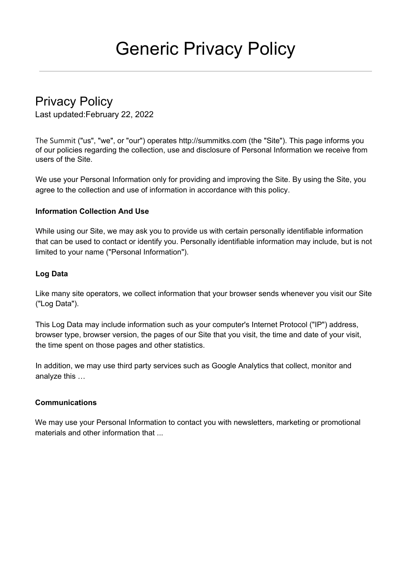# Generic Privacy Policy

# Privacy Policy

Last updated:February 22, 2022

The Summit ("us", "we", or "our") operates http://summitks.com (the "Site"). This page informs you of our policies regarding the collection, use and disclosure of Personal Information we receive from users of the Site.

We use your Personal Information only for providing and improving the Site. By using the Site, you agree to the collection and use of information in accordance with this policy.

# **Information Collection And Use**

While using our Site, we may ask you to provide us with certain personally identifiable information that can be used to contact or identify you. Personally identifiable information may include, but is not limited to your name ("Personal Information").

# **Log Data**

Like many site operators, we collect information that your browser sends whenever you visit our Site ("Log Data").

This Log Data may include information such as your computer's Internet Protocol ("IP") address, browser type, browser version, the pages of our Site that you visit, the time and date of your visit, the time spent on those pages and other statistics.

In addition, we may use third party services such as Google Analytics that collect, monitor and analyze this …

#### **Communications**

We may use your Personal Information to contact you with newsletters, marketing or promotional materials and other information that